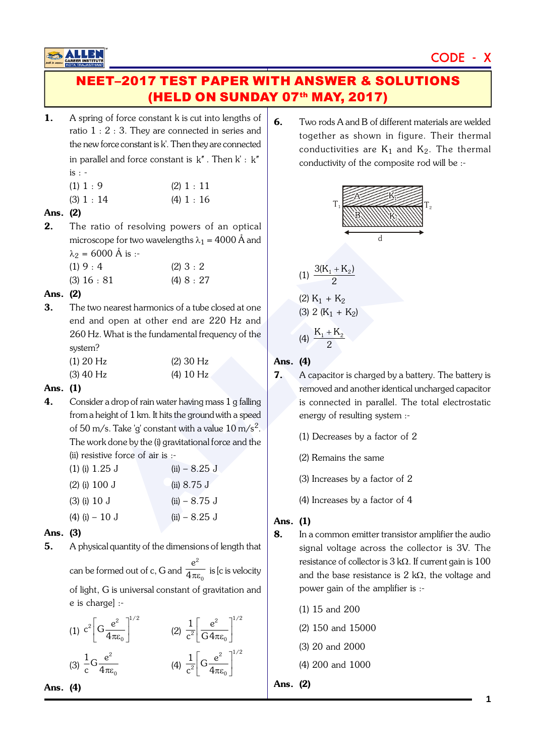# CODE - X

# **NEET-2017 TEST PAPER WITH ANSWER & SOLUTIONS** (HELD ON SUNDAY 07th MAY, 2017)

- A spring of force constant k is cut into lengths of 1. ratio  $1:2:3$ . They are connected in series and the new force constant is k'. Then they are connected in parallel and force constant is  $k''$ . Then  $k' : k''$  $is: -$ 
	- $(1) 1 : 9$  $(2) 1 : 11$
	- $(3) 1 : 14$  $(4) 1 : 16$

## Ans. (2)

 $2.$ The ratio of resolving powers of an optical microscope for two wavelengths  $\lambda_1 = 4000 \text{ Å}$  and  $\lambda_2$  = 6000 Å is :-

| (1) 9 : 4     | (2) 3 : 2  |
|---------------|------------|
| $(3)$ 16 : 81 | (4) 8 : 27 |

## Ans. (2)

3. The two nearest harmonics of a tube closed at one end and open at other end are 220 Hz and 260 Hz. What is the fundamental frequency of the system?

| $(1)$ 20 Hz | $(2)$ 30 Hz |
|-------------|-------------|
| $(3)$ 40 Hz | $(4)$ 10 Hz |

### Ans. (1)

 $\mathbf{4}$ Consider a drop of rain water having mass 1 g falling from a height of 1 km. It hits the ground with a speed of 50 m/s. Take 'q' constant with a value  $10 \text{ m/s}^2$ . The work done by the (i) gravitational force and the (ii) resistive force of air is :-

| $(1)$ (i) 1.25 J  | $(ii) - 8.25$ J       |
|-------------------|-----------------------|
| $(2)$ (i) 100 J   | (ii) $8.75 \text{ J}$ |
| $(3)$ (i) 10 J    | $(ii) - 8.75$ J       |
| $(4)$ (i) $-10$ J | $(ii) - 8.25$ J       |

# Ans. (3)

5. A physical quantity of the dimensions of length that can be formed out of c, G and  $\frac{e^2}{4\pi\varepsilon_0}$  is [c is velocity

of light, G is universal constant of gravitation and e is charge] :-

| (1) $c^2 \left[ G \frac{e^2}{4 \pi \epsilon_0} \right]^{1/2}$ | (2) $\frac{1}{c^2}\left[\frac{e}{G4\pi\epsilon_0}\right]$               |
|---------------------------------------------------------------|-------------------------------------------------------------------------|
| (3) $\frac{1}{c}G\frac{e^2}{4\pi\epsilon_0}$                  | (4) $\frac{1}{c^2} \left[ G \frac{e^2}{4 \pi \epsilon_0} \right]^{1/2}$ |

Ans. (4)

6. Two rods A and B of different materials are welded together as shown in figure. Their thermal conductivities are  $K_1$  and  $K_2$ . The thermal conductivity of the composite rod will be :-



### Ans. (4)

7.

- A capacitor is charged by a battery. The battery is removed and another identical uncharged capacitor is connected in parallel. The total electrostatic energy of resulting system :-
	- $(1)$  Decreases by a factor of 2
	- (2) Remains the same
	- (3) Increases by a factor of 2
	- (4) Increases by a factor of 4

### Ans. (1)

- 8. In a common emitter transistor amplifier the audio signal voltage across the collector is 3V. The resistance of collector is  $3 k\Omega$ . If current gain is 100 and the base resistance is 2  $k\Omega$ , the voltage and power gain of the amplifier is :-
	- $(1)$  15 and 200
	- $(2)$  150 and 15000
	- (3) 20 and 2000
	- (4) 200 and 1000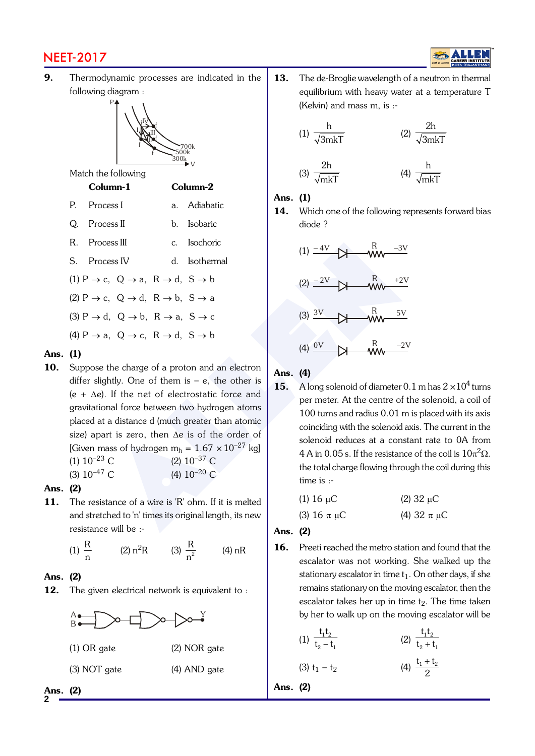# NEET-2017



9. Thermodynamic processes are indicated in the following diagram :



Match the following

P

#### Column-1 Column-2

- P. Process I a. Adiabatic
- Q. Process II b. Isobaric
- R. Process III c. Isochoric
- S. Process IV d. Isothermal
- (1)  $P \rightarrow c$ ,  $Q \rightarrow a$ ,  $R \rightarrow d$ ,  $S \rightarrow b$
- (2)  $P \rightarrow c$ ,  $Q \rightarrow d$ ,  $R \rightarrow b$ ,  $S \rightarrow a$
- (3)  $P \rightarrow d$ ,  $Q \rightarrow b$ ,  $R \rightarrow a$ ,  $S \rightarrow c$
- (4)  $P \rightarrow a$ ,  $Q \rightarrow c$ ,  $R \rightarrow d$ ,  $S \rightarrow b$

#### Ans. (1)

- ccess IV d. Isochoric<br>
ccess IV d. Isothermal<br>
cc, Q  $\rightarrow$  a, R  $\rightarrow$  d, S  $\rightarrow$  b<br>
cc, Q  $\rightarrow$  a, R  $\rightarrow$  d, S  $\rightarrow$  b<br>
d. Q  $\rightarrow$  b, R  $\rightarrow$  a, S  $\rightarrow$  c<br>
a, Q  $\rightarrow$  c, R  $\rightarrow$  d, S  $\rightarrow$  b<br>
e the charge of a proton and an electron 10. Suppose the charge of a proton and an electron differ slightly. One of them is  $-e$ , the other is  $(e + \Delta e)$ . If the net of electrostatic force and gravitational force between two hydrogen atoms placed at a distance d (much greater than atomic size) apart is zero, then  $\Delta e$  is of the order of [Given mass of hydrogen m $_{\rm h}$  =  $1.67\times10^{-27}$  kg] (1)  $10^{-23}$  C (2)  $10^{-37}$  C
	- (3)  $10^{-47}$  C (4)  $10^{-20}$  C

#### Ans. (2)

11. The resistance of a wire is 'R' ohm. If it is melted and stretched to 'n' times its original length, its new resistance will be :-

(1) 
$$
\frac{R}{n}
$$
 (2)  $n^2R$  (3)  $\frac{R}{n^2}$  (4) nR

#### Ans. (2)

**2**

12. The given electrical network is equivalent to :



13. The de-Broglie wavelength of a neutron in thermal equilibrium with heavy water at a temperature T (Kelvin) and mass m, is :-

(1) 
$$
\frac{h}{\sqrt{3mkT}}
$$
 (2)  $\frac{2h}{\sqrt{3mkT}}$   
(3)  $\frac{2h}{\sqrt{mkT}}$  (4)  $\frac{h}{\sqrt{mkT}}$ 

#### Ans. (1)

14. Which one of the following represents forward bias diode ?

mkT



#### Ans. (4)

15. A long solenoid of diameter  $0.1$  m has  $2 \times 10^4$  turns per meter. At the centre of the solenoid, a coil of 100 turns and radius 0.01 m is placed with its axis coinciding with the solenoid axis. The current in the solenoid reduces at a constant rate to 0A from 4 A in 0.05 s. If the resistance of the coil is  $10\pi^2\Omega$ . the total charge flowing through the coil during this time is :-

| (1) 16 $\mu$ C     | $(2)$ 32 µC        |  |
|--------------------|--------------------|--|
| (3) 16 $\pi \mu C$ | (4) 32 $\pi \mu C$ |  |

#### Ans. (2)

16. Preeti reached the metro station and found that the escalator was not working. She walked up the stationary escalator in time  $t_1$ . On other days, if she remains stationary on the moving escalator, then the escalator takes her up in time t <sup>2</sup>. The time taken by her to walk up on the moving escalator will be

(1) 
$$
\frac{t_1 t_2}{t_2 - t_1}
$$
 (2)  $\frac{t_1 t_2}{t_2 + t_1}$   
(3)  $t_1 - t_2$  (4)  $\frac{t_1 + t_2}{2}$ 

Ans. (2)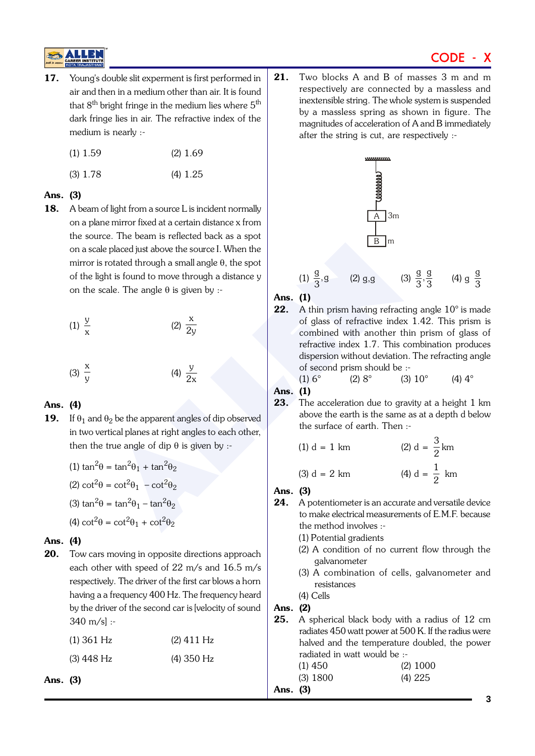# CODE - X

17. Young's double slit experment is first performed in air and then in a medium other than air. It is found that  $8<sup>th</sup>$  bright fringe in the medium lies where  $5<sup>th</sup>$ dark fringe lies in air. The refractive index of the medium is nearly :-

| $(1)$ 1.59 | $(2)$ 1.69 |
|------------|------------|
|            |            |

(3) 1.78 (4) 1.25

### Ans. (3)

E placed just above the source I. When the<br>
the placed just above the source I. When the<br>
ght is found to move through a distance y<br>
cale. The angle  $\theta$  is given by :<br>
(2)  $\frac{x}{2y}$ <br>
(2)  $\frac{x}{2y}$ <br>
(4)  $\frac{y}{2x}$ <br>
(4)  $\$ 18. A beam of light from a source L is incident normally on a plane mirror fixed at a certain distance x from the source. The beam is reflected back as a spot on a scale placed just above the source I. When the mirror is rotated through a small angle  $\theta,$  the spot of the light is found to move through a distance y on the scale. The angle  $\theta$  is given by :-

(1) 
$$
\frac{y}{x}
$$
  
\n(2)  $\frac{x}{2y}$   
\n(3)  $\frac{x}{y}$   
\n(4)  $\frac{y}{2x}$ 

### Ans. (4)

**19.** If  $\theta_1$  and  $\theta_2$  be the apparent angles of dip observed in two vertical planes at right angles to each other, then the true angle of dip  $\theta$  is given by :-

(1) 
$$
\tan^2 \theta = \tan^2 \theta_1 + \tan^2 \theta_2
$$
  
\n(2)  $\cot^2 \theta = \cot^2 \theta_1 - \cot^2 \theta_2$   
\n(3)  $\tan^2 \theta = \tan^2 \theta_1 - \tan^2 \theta_2$   
\n(4)  $\cot^2 \theta = \cot^2 \theta_1 + \cot^2 \theta_2$ 

#### Ans. (4)

20. Tow cars moving in opposite directions approach each other with speed of 22 m/s and 16.5 m/s respectively. The driver of the first car blows a horn having a a frequency 400 Hz. The frequency heard by the driver of the second car is [velocity of sound 340 m/s] :-

| $(1)$ 361 Hz | $(2)$ 411 Hz |
|--------------|--------------|
| $(3)$ 448 Hz | $(4)$ 350 Hz |

Ans. (3)

21. Two blocks A and B of masses 3 m and m respectively are connected by a massless and inextensible string. The whole system is suspended by a massless spring as shown in figure. The magnitudes of acceleration of A and B immediately after the string is cut, are respectively :-



(1)  $\frac{g}{3}$ , g (2) g,g (3)  $\frac{g}{3}, \frac{g}{3}$  (4) g  $\frac{g}{3}$ 

Ans. (1)

22. A thin prism having refracting angle 10° is made of glass of refractive index 1.42. This prism is combined with another thin prism of glass of refractive index 1.7. This combination produces dispersion without deviation. The refracting angle of second prism should be :-

(1)  $6^{\circ}$  (2)  $8^{\circ}$  (3)  $10^{\circ}$  (4)  $4^{\circ}$ 

Ans. (1)

23. The acceleration due to gravity at a height 1 km above the earth is the same as at a depth d below the surface of earth. Then :-

(1) d = 1 km   
 (2) d = 
$$
\frac{3}{2}
$$
 km

(3) 
$$
d = 2
$$
 km   
 (4)  $d = \frac{1}{2}$  km

#### Ans. (3)

- 24. A potentiometer is an accurate and versatile device to make electrical measurements of E.M.F. because the method involves :-
	- (1) Potential gradients
	- (2) A condition of no current flow through the galvanometer
	- (3) A combination of cells, galvanometer and resistances
	- (4) Cells

#### Ans. (2)

25. A spherical black body with a radius of 12 cm radiates 450 watt power at 500 K. If the radius were halved and the temperature doubled, the power radiated in watt would be :-

| $(1)$ 450  | $(2)$ 1000 |
|------------|------------|
| $(3)$ 1800 | (4) 225    |

Ans. (3)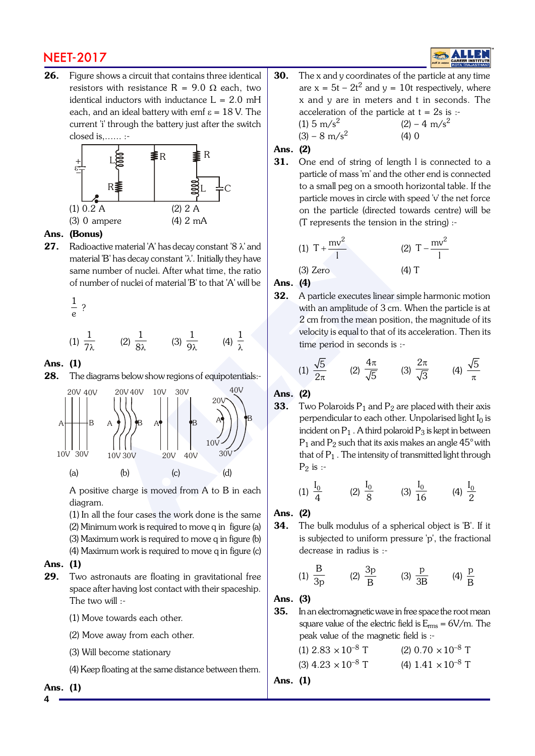# NEET-2017

26. Figure shows a circuit that contains three identical resistors with resistance R = 9.0  $\Omega$  each, two identical inductors with inductance  $L = 2.0$  mH each, and an ideal battery with emf  $\varepsilon = 18$  V. The current 'i' through the battery just after the switch closed is,...... :-



#### Ans. (Bonus)

**27.** Radioactive material 'A' has decay constant '8  $\lambda$ ' and material 'B' has decay constant ' l'. Initially they have same number of nuclei. After what time, the ratio of number of nuclei of material 'B' to that 'A' will be

$$
\frac{1}{e}?
$$

(1) 
$$
\frac{1}{7\lambda}
$$
 (2)  $\frac{1}{8\lambda}$  (3)  $\frac{1}{9\lambda}$  (4)  $\frac{1}{\lambda}$ 

#### Ans. (1)

28. The diagrams below show regions of equipotentials:-



A positive charge is moved from A to B in each diagram.

(1) In all the four cases the work done is the same (2) Minimum work is required to move q in figure (a) (3) Maximum work is required to move q in figure (b) (4) Maximum work is required to move q in figure (c)

#### Ans. (1)

- 29. Two astronauts are floating in gravitational free space after having lost contact with their spaceship. The two will :-
	- (1) Move towards each other.
	- (2) Move away from each other.
	- (3) Will become stationary

(4) Keep floating at the same distance between them.

#### Ans. (1)

30. The x and y coordinates of the particle at any time are  $x = 5t - 2t^2$  and  $y = 10t$  respectively, where x and y are in meters and t in seconds. The acceleration of the particle at  $t = 2s$  is :-(1) 5 m/s<sup>2</sup>  $(2) - 4$  m/s<sup>2</sup>  $(3) - 8$  m/s<sup>2</sup>  $(4) 0$ 

#### Ans. (2)

31. One end of string of length I is connected to a particle of mass 'm' and the other end is connected to a small peg on a smooth horizontal table. If the particle moves in circle with speed 'v' the net force on the particle (directed towards centre) will be (T represents the tension in the string) :-

(1) 
$$
T + \frac{mv^2}{l}
$$
 (2)  $T - \frac{mv^2}{l}$ 

#### (3) Zero (4) T Ans. (4)

32. A particle executes linear simple harmonic motion with an amplitude of 3 cm. When the particle is at 2 cm from the mean position, the magnitude of its velocity is equal to that of its acceleration. Then its time period in seconds is :-

(1) 
$$
\frac{\sqrt{5}}{2\pi}
$$
 (2)  $\frac{4\pi}{\sqrt{5}}$  (3)  $\frac{2\pi}{\sqrt{3}}$  (4)  $\frac{\sqrt{5}}{\pi}$ 

Ans. (2)

**33.** Two Polaroids  $P_1$  and  $P_2$  are placed with their axis perpendicular to each other. Unpolarised light  $I_0$  is incident on  $P_1$  . A third polaroid  $P_3$  is kept in between  $P_1$  and  $P_2$  such that its axis makes an angle  $45^{\circ}$  with that of  $P_1$  . The intensity of transmitted light through  $P_2$  is :-

(1) 
$$
\frac{I_0}{4}
$$
 (2)  $\frac{I_0}{8}$  (3)  $\frac{I_0}{16}$  (4)  $\frac{I_0}{2}$ 

#### Ans. (2)

34. The bulk modulus of a spherical object is 'B'. If it is subjected to uniform pressure 'p', the fractional decrease in radius is :-

(1) 
$$
\frac{B}{3p}
$$
 (2)  $\frac{3p}{B}$  (3)  $\frac{p}{3B}$  (4)  $\frac{p}{B}$ 

#### Ans. (3)

**35.** In an electromagnetic wave in free space the root mean square value of the electric field is  $E_{rms} = 6V/m$ . The peak value of the magnetic field is :-

| (1) $2.83 \times 10^{-8}$ T | $(2)$ 0.70 $\times$ 10 <sup>-8</sup> T |
|-----------------------------|----------------------------------------|
| (3) $4.23 \times 10^{-8}$ T | (4) $1.41 \times 10^{-8}$ T            |

#### Ans. (1)

**4**